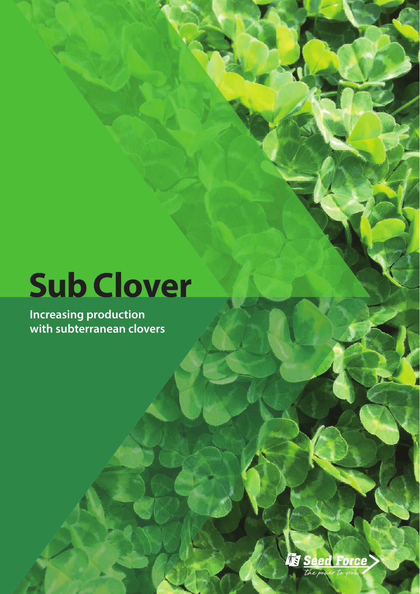# **Sub Clover**

**Increasing production with subterranean clovers**